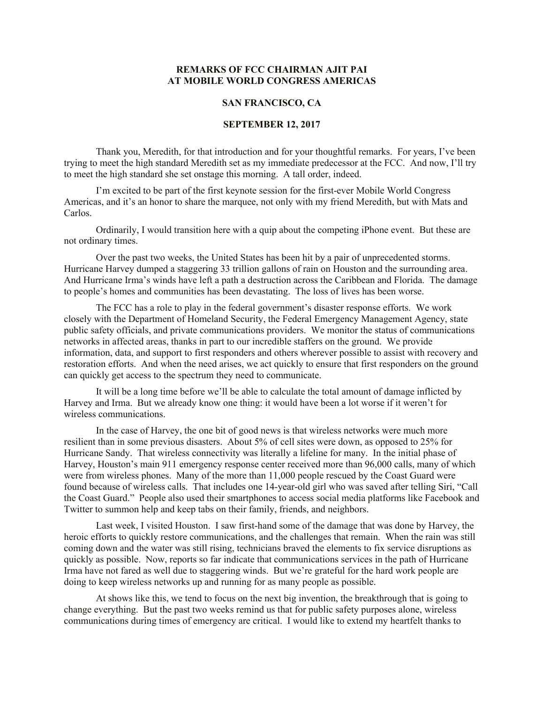## **REMARKS OF FCC CHAIRMAN AJIT PAI AT MOBILE WORLD CONGRESS AMERICAS**

## **SAN FRANCISCO, CA**

## **SEPTEMBER 12, 2017**

Thank you, Meredith, for that introduction and for your thoughtful remarks. For years, I've been trying to meet the high standard Meredith set as my immediate predecessor at the FCC. And now, I'll try to meet the high standard she set onstage this morning. A tall order, indeed.

I'm excited to be part of the first keynote session for the first-ever Mobile World Congress Americas, and it's an honor to share the marquee, not only with my friend Meredith, but with Mats and Carlos.

Ordinarily, I would transition here with a quip about the competing iPhone event. But these are not ordinary times.

Over the past two weeks, the United States has been hit by a pair of unprecedented storms. Hurricane Harvey dumped a staggering 33 trillion gallons of rain on Houston and the surrounding area. And Hurricane Irma's winds have left a path a destruction across the Caribbean and Florida. The damage to people's homes and communities has been devastating. The loss of lives has been worse.

The FCC has a role to play in the federal government's disaster response efforts. We work closely with the Department of Homeland Security, the Federal Emergency Management Agency, state public safety officials, and private communications providers. We monitor the status of communications networks in affected areas, thanks in part to our incredible staffers on the ground. We provide information, data, and support to first responders and others wherever possible to assist with recovery and restoration efforts. And when the need arises, we act quickly to ensure that first responders on the ground can quickly get access to the spectrum they need to communicate.

It will be a long time before we'll be able to calculate the total amount of damage inflicted by Harvey and Irma. But we already know one thing: it would have been a lot worse if it weren't for wireless communications.

In the case of Harvey, the one bit of good news is that wireless networks were much more resilient than in some previous disasters. About 5% of cell sites were down, as opposed to 25% for Hurricane Sandy. That wireless connectivity was literally a lifeline for many. In the initial phase of Harvey, Houston's main 911 emergency response center received more than 96,000 calls, many of which were from wireless phones. Many of the more than 11,000 people rescued by the Coast Guard were found because of wireless calls. That includes one 14-year-old girl who was saved after telling Siri, "Call the Coast Guard." People also used their smartphones to access social media platforms like Facebook and Twitter to summon help and keep tabs on their family, friends, and neighbors.

Last week, I visited Houston. I saw first-hand some of the damage that was done by Harvey, the heroic efforts to quickly restore communications, and the challenges that remain. When the rain was still coming down and the water was still rising, technicians braved the elements to fix service disruptions as quickly as possible. Now, reports so far indicate that communications services in the path of Hurricane Irma have not fared as well due to staggering winds. But we're grateful for the hard work people are doing to keep wireless networks up and running for as many people as possible.

At shows like this, we tend to focus on the next big invention, the breakthrough that is going to change everything. But the past two weeks remind us that for public safety purposes alone, wireless communications during times of emergency are critical. I would like to extend my heartfelt thanks to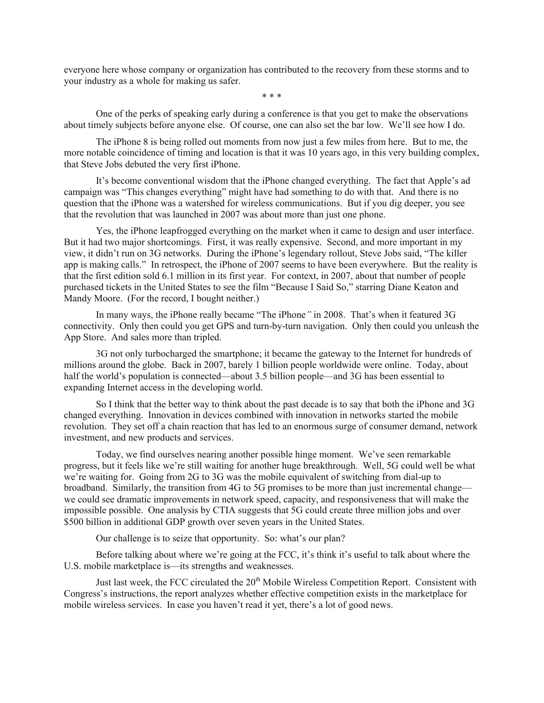everyone here whose company or organization has contributed to the recovery from these storms and to your industry as a whole for making us safer.

\* \* \*

One of the perks of speaking early during a conference is that you get to make the observations about timely subjects before anyone else. Of course, one can also set the bar low. We'll see how I do.

The iPhone 8 is being rolled out moments from now just a few miles from here. But to me, the more notable coincidence of timing and location is that it was 10 years ago, in this very building complex, that Steve Jobs debuted the very first iPhone.

It's become conventional wisdom that the iPhone changed everything. The fact that Apple's ad campaign was "This changes everything" might have had something to do with that. And there is no question that the iPhone was a watershed for wireless communications. But if you dig deeper, you see that the revolution that was launched in 2007 was about more than just one phone.

Yes, the iPhone leapfrogged everything on the market when it came to design and user interface. But it had two major shortcomings. First, it was really expensive. Second, and more important in my view, it didn't run on 3G networks. During the iPhone's legendary rollout, Steve Jobs said, "The killer app is making calls." In retrospect, the iPhone of 2007 seems to have been everywhere. But the reality is that the first edition sold 6.1 million in its first year. For context, in 2007, about that number of people purchased tickets in the United States to see the film "Because I Said So," starring Diane Keaton and Mandy Moore. (For the record, I bought neither.)

In many ways, the iPhone really became "The iPhone*"* in 2008. That's when it featured 3G connectivity. Only then could you get GPS and turn-by-turn navigation. Only then could you unleash the App Store. And sales more than tripled.

3G not only turbocharged the smartphone; it became the gateway to the Internet for hundreds of millions around the globe. Back in 2007, barely 1 billion people worldwide were online. Today, about half the world's population is connected—about 3.5 billion people—and 3G has been essential to expanding Internet access in the developing world.

So I think that the better way to think about the past decade is to say that both the iPhone and 3G changed everything. Innovation in devices combined with innovation in networks started the mobile revolution. They set off a chain reaction that has led to an enormous surge of consumer demand, network investment, and new products and services.

Today, we find ourselves nearing another possible hinge moment. We've seen remarkable progress, but it feels like we're still waiting for another huge breakthrough. Well, 5G could well be what we're waiting for. Going from 2G to 3G was the mobile equivalent of switching from dial-up to broadband. Similarly, the transition from 4G to 5G promises to be more than just incremental change we could see dramatic improvements in network speed, capacity, and responsiveness that will make the impossible possible. One analysis by CTIA suggests that 5G could create three million jobs and over \$500 billion in additional GDP growth over seven years in the United States.

Our challenge is to seize that opportunity. So: what's our plan?

Before talking about where we're going at the FCC, it's think it's useful to talk about where the U.S. mobile marketplace is—its strengths and weaknesses.

Just last week, the FCC circulated the  $20<sup>th</sup>$  Mobile Wireless Competition Report. Consistent with Congress's instructions, the report analyzes whether effective competition exists in the marketplace for mobile wireless services. In case you haven't read it yet, there's a lot of good news.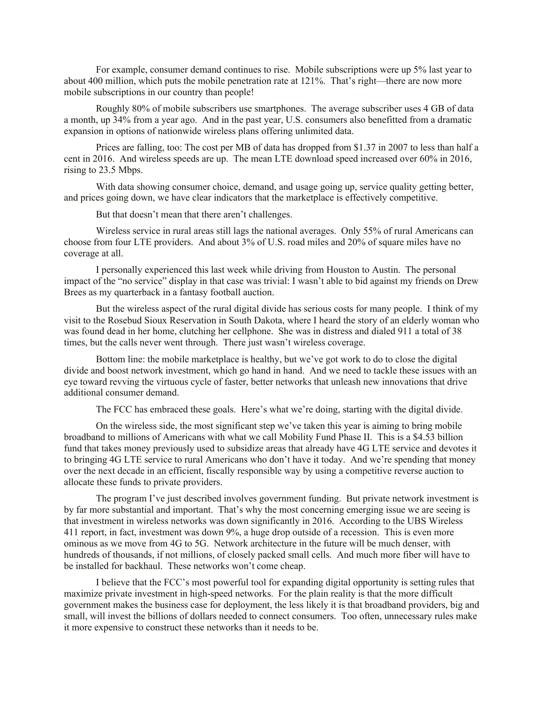For example, consumer demand continues to rise. Mobile subscriptions were up 5% last year to about 400 million, which puts the mobile penetration rate at 121%. That's right—there are now more mobile subscriptions in our country than people!

Roughly 80% of mobile subscribers use smartphones. The average subscriber uses 4 GB of data a month, up 34% from a year ago. And in the past year, U.S. consumers also benefitted from a dramatic expansion in options of nationwide wireless plans offering unlimited data.

Prices are falling, too: The cost per MB of data has dropped from \$1.37 in 2007 to less than half a cent in 2016. And wireless speeds are up. The mean LTE download speed increased over 60% in 2016, rising to 23.5 Mbps.

With data showing consumer choice, demand, and usage going up, service quality getting better, and prices going down, we have clear indicators that the marketplace is effectively competitive.

But that doesn't mean that there aren't challenges.

Wireless service in rural areas still lags the national averages. Only 55% of rural Americans can choose from four LTE providers. And about 3% of U.S. road miles and 20% of square miles have no coverage at all.

I personally experienced this last week while driving from Houston to Austin. The personal impact of the "no service" display in that case was trivial: I wasn't able to bid against my friends on Drew Brees as my quarterback in a fantasy football auction.

But the wireless aspect of the rural digital divide has serious costs for many people. I think of my visit to the Rosebud Sioux Reservation in South Dakota, where I heard the story of an elderly woman who was found dead in her home, clutching her cellphone. She was in distress and dialed 911 a total of 38 times, but the calls never went through. There just wasn't wireless coverage.

Bottom line: the mobile marketplace is healthy, but we've got work to do to close the digital divide and boost network investment, which go hand in hand. And we need to tackle these issues with an eye toward revving the virtuous cycle of faster, better networks that unleash new innovations that drive additional consumer demand.

The FCC has embraced these goals. Here's what we're doing, starting with the digital divide.

On the wireless side, the most significant step we've taken this year is aiming to bring mobile broadband to millions of Americans with what we call Mobility Fund Phase II. This is a \$4.53 billion fund that takes money previously used to subsidize areas that already have 4G LTE service and devotes it to bringing 4G LTE service to rural Americans who don't have it today. And we're spending that money over the next decade in an efficient, fiscally responsible way by using a competitive reverse auction to allocate these funds to private providers.

The program I've just described involves government funding. But private network investment is by far more substantial and important. That's why the most concerning emerging issue we are seeing is that investment in wireless networks was down significantly in 2016. According to the UBS Wireless 411 report, in fact, investment was down 9%, a huge drop outside of a recession. This is even more ominous as we move from 4G to 5G. Network architecture in the future will be much denser, with hundreds of thousands, if not millions, of closely packed small cells. And much more fiber will have to be installed for backhaul. These networks won't come cheap.

I believe that the FCC's most powerful tool for expanding digital opportunity is setting rules that maximize private investment in high-speed networks. For the plain reality is that the more difficult government makes the business case for deployment, the less likely it is that broadband providers, big and small, will invest the billions of dollars needed to connect consumers. Too often, unnecessary rules make it more expensive to construct these networks than it needs to be.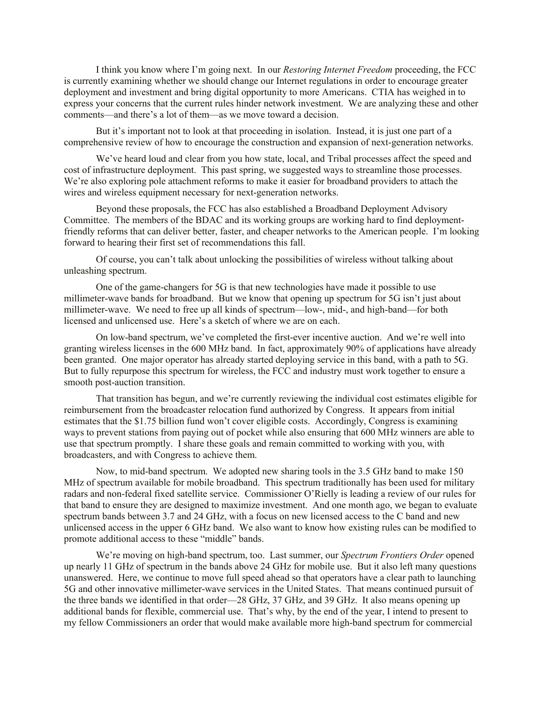I think you know where I'm going next. In our *Restoring Internet Freedom* proceeding, the FCC is currently examining whether we should change our Internet regulations in order to encourage greater deployment and investment and bring digital opportunity to more Americans. CTIA has weighed in to express your concerns that the current rules hinder network investment. We are analyzing these and other comments—and there's a lot of them—as we move toward a decision.

But it's important not to look at that proceeding in isolation. Instead, it is just one part of a comprehensive review of how to encourage the construction and expansion of next-generation networks.

We've heard loud and clear from you how state, local, and Tribal processes affect the speed and cost of infrastructure deployment. This past spring, we suggested ways to streamline those processes. We're also exploring pole attachment reforms to make it easier for broadband providers to attach the wires and wireless equipment necessary for next-generation networks.

Beyond these proposals, the FCC has also established a Broadband Deployment Advisory Committee. The members of the BDAC and its working groups are working hard to find deploymentfriendly reforms that can deliver better, faster, and cheaper networks to the American people. I'm looking forward to hearing their first set of recommendations this fall.

Of course, you can't talk about unlocking the possibilities of wireless without talking about unleashing spectrum.

One of the game-changers for 5G is that new technologies have made it possible to use millimeter-wave bands for broadband. But we know that opening up spectrum for 5G isn't just about millimeter-wave. We need to free up all kinds of spectrum—low-, mid-, and high-band—for both licensed and unlicensed use. Here's a sketch of where we are on each.

On low-band spectrum, we've completed the first-ever incentive auction. And we're well into granting wireless licenses in the 600 MHz band. In fact, approximately 90% of applications have already been granted. One major operator has already started deploying service in this band, with a path to 5G. But to fully repurpose this spectrum for wireless, the FCC and industry must work together to ensure a smooth post-auction transition.

That transition has begun, and we're currently reviewing the individual cost estimates eligible for reimbursement from the broadcaster relocation fund authorized by Congress. It appears from initial estimates that the \$1.75 billion fund won't cover eligible costs. Accordingly, Congress is examining ways to prevent stations from paying out of pocket while also ensuring that 600 MHz winners are able to use that spectrum promptly. I share these goals and remain committed to working with you, with broadcasters, and with Congress to achieve them.

Now, to mid-band spectrum. We adopted new sharing tools in the 3.5 GHz band to make 150 MHz of spectrum available for mobile broadband. This spectrum traditionally has been used for military radars and non-federal fixed satellite service. Commissioner O'Rielly is leading a review of our rules for that band to ensure they are designed to maximize investment. And one month ago, we began to evaluate spectrum bands between 3.7 and 24 GHz, with a focus on new licensed access to the C band and new unlicensed access in the upper 6 GHz band. We also want to know how existing rules can be modified to promote additional access to these "middle" bands.

We're moving on high-band spectrum, too. Last summer, our *Spectrum Frontiers Order* opened up nearly 11 GHz of spectrum in the bands above 24 GHz for mobile use. But it also left many questions unanswered. Here, we continue to move full speed ahead so that operators have a clear path to launching 5G and other innovative millimeter-wave services in the United States. That means continued pursuit of the three bands we identified in that order—28 GHz, 37 GHz, and 39 GHz. It also means opening up additional bands for flexible, commercial use. That's why, by the end of the year, I intend to present to my fellow Commissioners an order that would make available more high-band spectrum for commercial